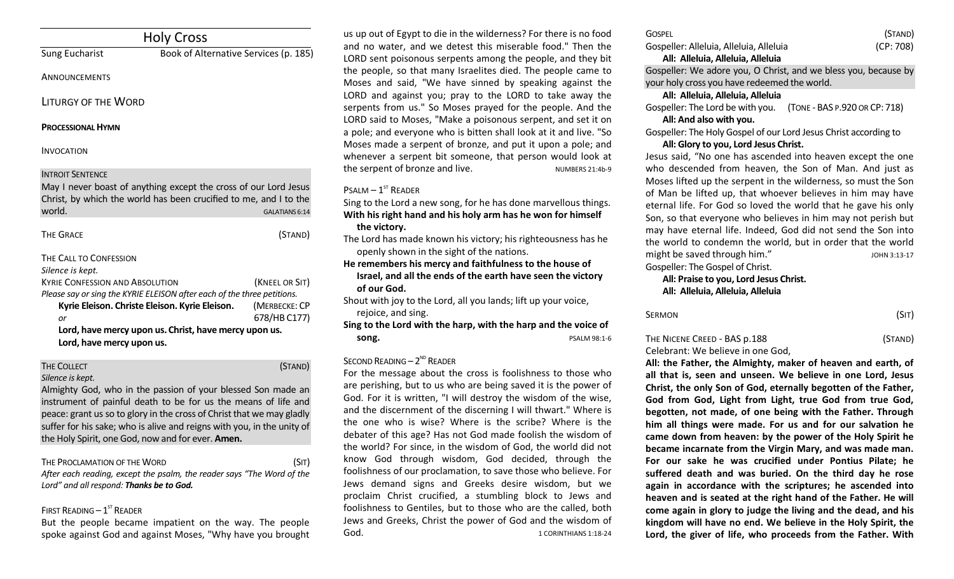|                                                                                      | <b>Holy Cross</b>                                                                                                                     |                               |
|--------------------------------------------------------------------------------------|---------------------------------------------------------------------------------------------------------------------------------------|-------------------------------|
| <b>Sung Eucharist</b>                                                                | Book of Alternative Services (p. 185)                                                                                                 |                               |
| ANNOUNCEMENTS                                                                        |                                                                                                                                       |                               |
| <b>LITURGY OF THE WORD</b>                                                           |                                                                                                                                       |                               |
| <b>PROCESSIONAL HYMN</b>                                                             |                                                                                                                                       |                               |
| <b>INVOCATION</b>                                                                    |                                                                                                                                       |                               |
| <b>INTROIT SENTENCE</b><br>world.                                                    | May I never boast of anything except the cross of our Lord Jesus<br>Christ, by which the world has been crucified to me, and I to the | GALATIANS 6:14                |
| <b>THE GRACE</b>                                                                     |                                                                                                                                       | (STAND)                       |
| THE CALL TO CONFESSION<br>Silence is kept.<br><b>KYRIE CONFESSION AND ABSOLUTION</b> | Please say or sing the KYRIE ELEISON after each of the three petitions.                                                               | (KNEEL OR SIT)                |
| or                                                                                   | Kyrie Eleison. Christe Eleison. Kyrie Eleison.                                                                                        | (MERBECKE: CP<br>678/HB C177) |
| Lord, have mercy upon us.                                                            | Lord, have mercy upon us. Christ, have mercy upon us.                                                                                 |                               |

# THE COLLECT **THE COLLECT COLLECT COLLECT COLLECT COLLECT COLLECT COLLECT COLLECT COLLECT COLLECT**

*Silence is kept.*

Almighty God, who in the passion of your blessed Son made an instrument of painful death to be for us the means of life and peace: grant us so to glory in the cross of Christ that we may gladly suffer for his sake; who is alive and reigns with you, in the unity of the Holy Spirit, one God, now and for ever. **Amen.**

THE PROCLAMATION OF THE WORD (SIT) *After each reading, except the psalm, the reader says "The Word of the Lord" and all respond: Thanks be to God.* 

#### FIRST READING  $-1^\text{ST}$  READER

But the people became impatient on the way. The people spoke against God and against Moses, "Why have you brought

us up out of Egypt to die in the wilderness? For there is no food and no water, and we detest this miserable food." Then the LORD sent poisonous serpents among the people, and they bit the people, so that many Israelites died. The people came to Moses and said, "We have sinned by speaking against the LORD and against you; pray to the LORD to take away the serpents from us." So Moses prayed for the people. And the LORD said to Moses, "Make a poisonous serpent, and set it on a pole; and everyone who is bitten shall look at it and live. "So Moses made a serpent of bronze, and put it upon a pole; and whenever a serpent bit someone, that person would look at the serpent of bronze and live. NUMBERS 21:4b-9

## $P$ SALM –  $1^{ST}$  RFADER

Sing to the Lord a new song, for he has done marvellous things. **With his right hand and his holy arm has he won for himself the victory.**

The Lord has made known his victory; his righteousness has he openly shown in the sight of the nations.

**He remembers his mercy and faithfulness to the house of Israel, and all the ends of the earth have seen the victory of our God.**

Shout with joy to the Lord, all you lands; lift up your voice, rejoice, and sing.

**Sing to the Lord with the harp, with the harp and the voice of song. PSALM 98:1-6** 

## SECOND READING  $-2^{ND}$  READER

For the message about the cross is foolishness to those who are perishing, but to us who are being saved it is the power of God. For it is written, "I will destroy the wisdom of the wise, and the discernment of the discerning I will thwart." Where is the one who is wise? Where is the scribe? Where is the debater of this age? Has not God made foolish the wisdom of the world? For since, in the wisdom of God, the world did not know God through wisdom, God decided, through the foolishness of our proclamation, to save those who believe. For Jews demand signs and Greeks desire wisdom, but we proclaim Christ crucified, a stumbling block to Jews and foolishness to Gentiles, but to those who are the called, both Jews and Greeks, Christ the power of God and the wisdom of God. 6. The set of the set of the set of the set of the set of the set of the set of the set of the set of the set of the set of the set of the set of the set of the set of the set of the set of the set of the set of the s

| <b>GOSPEL</b>                           | (STAND)   |
|-----------------------------------------|-----------|
| Gospeller: Alleluia, Alleluia, Alleluia | (CP: 708) |
| All: Alleluia, Alleluia, Alleluia       |           |

Gospeller: We adore you, O Christ, and we bless you, because by your holy cross you have redeemed the world.

### **All: Alleluia, Alleluia, Alleluia**

Gospeller: The Lord be with you. (TONE - BAS P.920 OR CP: 718) **All: And also with you.** 

Gospeller: The Holy Gospel of our Lord Jesus Christ according to **All: Glory to you, Lord Jesus Christ.**

Jesus said, "No one has ascended into heaven except the one who descended from heaven, the Son of Man. And just as Moses lifted up the serpent in the wilderness, so must the Son of Man be lifted up, that whoever believes in him may have eternal life. For God so loved the world that he gave his only Son, so that everyone who believes in him may not perish but may have eternal life. Indeed, God did not send the Son into the world to condemn the world, but in order that the world might be saved through him." Gospeller: The Gospel of Christ.

**All: Praise to you, Lord Jesus Christ. All: Alleluia, Alleluia, Alleluia**

| SERMON | (Sit) |
|--------|-------|
|        |       |

## THE NICENE CREED - BAS p.188 (STAND) Celebrant: We believe in one God,

**All: the Father, the Almighty, maker of heaven and earth, of all that is, seen and unseen. We believe in one Lord, Jesus Christ, the only Son of God, eternally begotten of the Father, God from God, Light from Light, true God from true God, begotten, not made, of one being with the Father. Through him all things were made. For us and for our salvation he came down from heaven: by the power of the Holy Spirit he became incarnate from the Virgin Mary, and was made man. For our sake he was crucified under Pontius Pilate; he suffered death and was buried. On the third day he rose again in accordance with the scriptures; he ascended into heaven and is seated at the right hand of the Father. He will come again in glory to judge the living and the dead, and his kingdom will have no end. We believe in the Holy Spirit, the Lord, the giver of life, who proceeds from the Father. With**